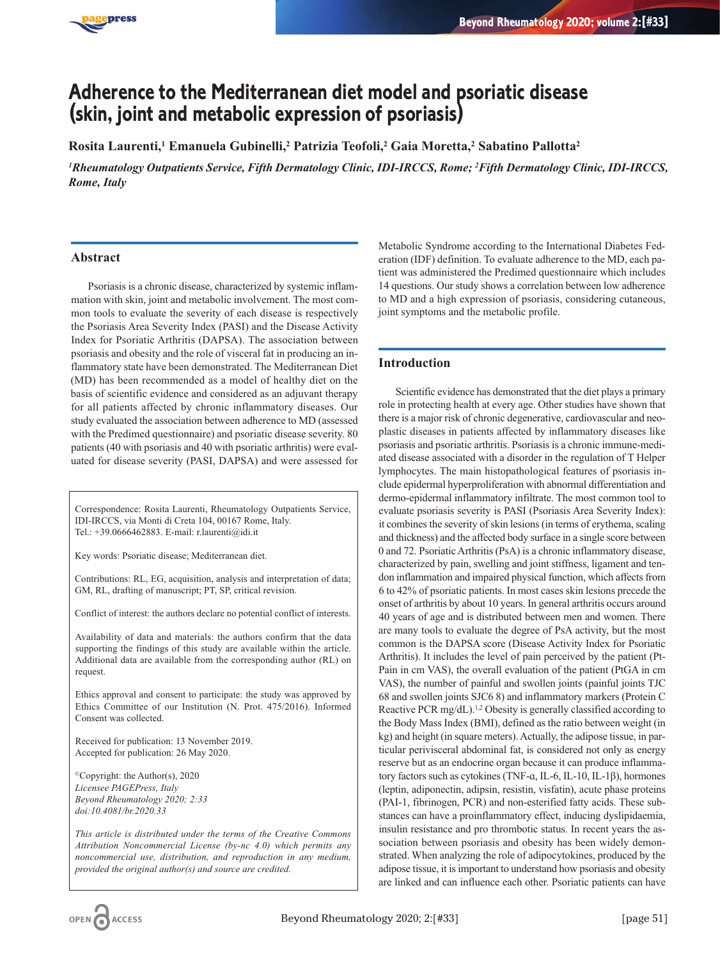

# **Adherence to the Mediterranean diet model and psoriatic disease (skin, joint and metabolic expression of psoriasis)**

**Rosita Laurenti,1 Emanuela Gubinelli,2 Patrizia Teofoli,2 Gaia Moretta,2 Sabatino Pallotta2**

*1 Rheumatology Outpatients Service, Fifth Dermatology Clinic, IDI-IRCCS, Rome; 2 Fifth Dermatology Clinic, IDI-IRCCS, Rome, Italy*

## **Abstract**

Psoriasis is a chronic disease, characterized by systemic inflammation with skin, joint and metabolic involvement. The most common tools to evaluate the severity of each disease is respectively the Psoriasis Area Severity Index (PASI) and the Disease Activity Index for Psoriatic Arthritis (DAPSA). The association between psoriasis and obesity and the role of visceral fat in producing an inflammatory state have been demonstrated. The Mediterranean Diet (MD) has been recommended as a model of healthy diet on the basis of scientific evidence and considered as an adjuvant therapy for all patients affected by chronic inflammatory diseases. Our study evaluated the association between adherence to MD (assessed with the Predimed questionnaire) and psoriatic disease severity. 80 patients (40 with psoriasis and 40 with psoriatic arthritis) were evaluated for disease severity (PASI, DAPSA) and were assessed for

Correspondence: Rosita Laurenti, Rheumatology Outpatients Service, IDI-IRCCS, via Monti di Creta 104, 00167 Rome, Italy. Tel.: +39.0666462883. E-mail: r.laurenti@idi.it

Key words: Psoriatic disease; Mediterranean diet.

Contributions: RL, EG, acquisition, analysis and interpretation of data; GM, RL, drafting of manuscript; PT, SP, critical revision.

Conflict of interest: the authors declare no potential conflict of interests.

Availability of data and materials: the authors confirm that the data supporting the findings of this study are available within the article. Additional data are available from the corresponding author (RL) on request.

Ethics approval and consent to participate: the study was approved by Ethics Committee of our Institution (N. Prot. 475/2016). Informed Consent was collected.

Received for publication: 13 November 2019. Accepted for publication: 26 May 2020.

©Copyright: the Author(s), 2020 *Licensee PAGEPress, Italy Beyond Rheumatology 2020; 2:33 doi:10.4081/br.2020.33*

*This article is distributed under the terms of the Creative Commons Attribution Noncommercial License (by-nc 4.0) which permits any noncommercial use, distribution, and reproduction in any medium, provided the original author(s) and source are credited.*

Metabolic Syndrome according to the International Diabetes Federation (IDF) definition. To evaluate adherence to the MD, each patient was administered the Predimed questionnaire which includes 14 questions. Our study shows a correlation between low adherence to MD and a high expression of psoriasis, considering cutaneous, joint symptoms and the metabolic profile.

# **Introduction**

Scientific evidence has demonstrated that the diet plays a primary role in protecting health at every age. Other studies have shown that there is a major risk of chronic degenerative, cardiovascular and neoplastic diseases in patients affected by inflammatory diseases like psoriasis and psoriatic arthritis. Psoriasis is a chronic immune-mediated disease associated with a disorder in the regulation of T Helper lymphocytes. The main histopathological features of psoriasis include epidermal hyperproliferation with abnormal differentiation and dermo-epidermal inflammatory infiltrate. The most common tool to evaluate psoriasis severity is PASI (Psoriasis Area Severity Index): it combines the severity of skin lesions (in terms of erythema, scaling and thickness) and the affected body surface in a single score between 0 and 72. Psoriatic Arthritis (PsA) is a chronic inflammatory disease, characterized by pain, swelling and joint stiffness, ligament and tendon inflammation and impaired physical function, which affects from 6 to 42% of psoriatic patients. In most cases skin lesions precede the onset of arthritis by about 10 years. In general arthritis occurs around 40 years of age and is distributed between men and women. There are many tools to evaluate the degree of PsA activity, but the most common is the DAPSA score (Disease Activity Index for Psoriatic Arthritis). It includes the level of pain perceived by the patient (Pt-Pain in cm VAS), the overall evaluation of the patient (PtGA in cm VAS), the number of painful and swollen joints (painful joints TJC 68 and swollen joints SJC6 8) and inflammatory markers (Protein C Reactive PCR mg/dL).<sup>1,2</sup> Obesity is generally classified according to the Body Mass Index (BMI), defined as the ratio between weight (in kg) and height (in square meters). Actually, the adipose tissue, in particular perivisceral abdominal fat, is considered not only as energy reserve but as an endocrine organ because it can produce inflammatory factors such as cytokines (TNF-ɑ, IL-6, IL-10, IL-1β), hormones (leptin, adiponectin, adipsin, resistin, visfatin), acute phase proteins (PAI-1, fibrinogen, PCR) and non-esterified fatty acids. These substances can have a proinflammatory effect, inducing dyslipidaemia, insulin resistance and pro thrombotic status. In recent years the association between psoriasis and obesity has been widely demonstrated. When analyzing the role of adipocytokines, produced by the adipose tissue, it is important to understand how psoriasis and obesity are linked and can influence each other. Psoriatic patients can have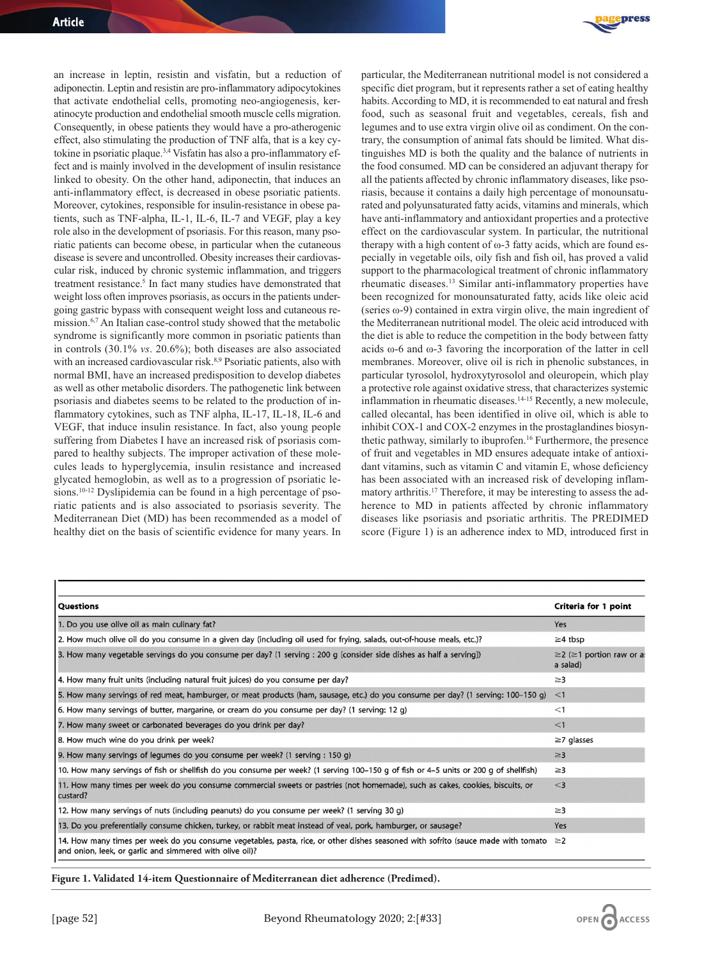press

an increase in leptin, resistin and visfatin, but a reduction of adiponectin. Leptin and resistin are pro-inflammatory adipocytokines that activate endothelial cells, promoting neo-angiogenesis, keratinocyte production and endothelial smooth muscle cells migration. Consequently, in obese patients they would have a pro-atherogenic effect, also stimulating the production of TNF alfa, that is a key cytokine in psoriatic plaque.3,4 Visfatin has also a pro-inflammatory effect and is mainly involved in the development of insulin resistance linked to obesity. On the other hand, adiponectin, that induces an anti-inflammatory effect, is decreased in obese psoriatic patients. Moreover, cytokines, responsible for insulin-resistance in obese patients, such as TNF-alpha, IL-1, IL-6, IL-7 and VEGF, play a key role also in the development of psoriasis. For this reason, many psoriatic patients can become obese, in particular when the cutaneous disease is severe and uncontrolled. Obesity increases their cardiovascular risk, induced by chronic systemic inflammation, and triggers treatment resistance.<sup>5</sup> In fact many studies have demonstrated that weight loss often improves psoriasis, as occurs in the patients undergoing gastric bypass with consequent weight loss and cutaneous remission.6,7 An Italian case-control study showed that the metabolic syndrome is significantly more common in psoriatic patients than in controls (30.1% *vs*. 20.6%); both diseases are also associated with an increased cardiovascular risk.<sup>8,9</sup> Psoriatic patients, also with normal BMI, have an increased predisposition to develop diabetes as well as other metabolic disorders. The pathogenetic link between psoriasis and diabetes seems to be related to the production of inflammatory cytokines, such as TNF alpha, IL-17, IL-18, IL-6 and VEGF, that induce insulin resistance. In fact, also young people suffering from Diabetes I have an increased risk of psoriasis compared to healthy subjects. The improper activation of these molecules leads to hyperglycemia, insulin resistance and increased glycated hemoglobin, as well as to a progression of psoriatic lesions.<sup>10-12</sup> Dyslipidemia can be found in a high percentage of psoriatic patients and is also associated to psoriasis severity. The Mediterranean Diet (MD) has been recommended as a model of healthy diet on the basis of scientific evidence for many years. In

particular, the Mediterranean nutritional model is not considered a specific diet program, but it represents rather a set of eating healthy habits. According to MD, it is recommended to eat natural and fresh food, such as seasonal fruit and vegetables, cereals, fish and legumes and to use extra virgin olive oil as condiment. On the contrary, the consumption of animal fats should be limited. What distinguishes MD is both the quality and the balance of nutrients in the food consumed. MD can be considered an adjuvant therapy for all the patients affected by chronic inflammatory diseases, like psoriasis, because it contains a daily high percentage of monounsaturated and polyunsaturated fatty acids, vitamins and minerals, which have anti-inflammatory and antioxidant properties and a protective effect on the cardiovascular system. In particular, the nutritional therapy with a high content of  $\omega$ -3 fatty acids, which are found especially in vegetable oils, oily fish and fish oil, has proved a valid support to the pharmacological treatment of chronic inflammatory rheumatic diseases.13 Similar anti-inflammatory properties have been recognized for monounsaturated fatty, acids like oleic acid (series ω-9) contained in extra virgin olive, the main ingredient of the Mediterranean nutritional model. The oleic acid introduced with the diet is able to reduce the competition in the body between fatty acids ω-6 and ω-3 favoring the incorporation of the latter in cell membranes. Moreover, olive oil is rich in phenolic substances, in particular tyrosolol, hydroxytyrosolol and oleuropein, which play a protective role against oxidative stress, that characterizes systemic inflammation in rheumatic diseases.<sup>14-15</sup> Recently, a new molecule, called olecantal, has been identified in olive oil, which is able to inhibit COX-1 and COX-2 enzymes in the prostaglandines biosynthetic pathway, similarly to ibuprofen.16 Furthermore, the presence of fruit and vegetables in MD ensures adequate intake of antioxidant vitamins, such as vitamin C and vitamin E, whose deficiency has been associated with an increased risk of developing inflammatory arthritis.17 Therefore, it may be interesting to assess the adherence to MD in patients affected by chronic inflammatory diseases like psoriasis and psoriatic arthritis. The PREDIMED score (Figure 1) is an adherence index to MD, introduced first in

| <b>Questions</b>                                                                                                                                                                                       | Criteria for 1 point                              |
|--------------------------------------------------------------------------------------------------------------------------------------------------------------------------------------------------------|---------------------------------------------------|
| 1. Do you use olive oil as main culinary fat?                                                                                                                                                          | Yes                                               |
| 2. How much olive oil do you consume in a given day (including oil used for frying, salads, out-of-house meals, etc.)?                                                                                 | $\geq$ 4 tbsp                                     |
| 3. How many vegetable servings do you consume per day? (1 serving : 200 g [consider side dishes as half a serving])                                                                                    | $\geq$ 2 ( $\geq$ 1 portion raw or as<br>a salad) |
| 4. How many fruit units (including natural fruit juices) do you consume per day?                                                                                                                       | $\geq$ 3                                          |
| 5. How many servings of red meat, hamburger, or meat products (ham, sausage, etc.) do you consume per day? (1 serving: 100-150 g)                                                                      | $\leq$ 1                                          |
| 6. How many servings of butter, margarine, or cream do you consume per day? (1 serving: 12 g)                                                                                                          | $<$ 1                                             |
| 7. How many sweet or carbonated beverages do you drink per day?                                                                                                                                        | $\leq$ 1                                          |
| 8. How much wine do you drink per week?                                                                                                                                                                | $\geq$ 7 glasses                                  |
| 9. How many servings of legumes do you consume per week? (1 serving : 150 g)                                                                                                                           | $\geq$ 3                                          |
| 10. How many servings of fish or shellfish do you consume per week? (1 serving 100-150 g of fish or 4-5 units or 200 g of shellfish)                                                                   | $\geq$ 3                                          |
| 11. How many times per week do you consume commercial sweets or pastries (not homemade), such as cakes, cookies, biscuits, or<br>custard?                                                              | $\leq$ 3                                          |
| 12. How many servings of nuts (including peanuts) do you consume per week? (1 serving 30 g)                                                                                                            | $\geq$ 3                                          |
| 13. Do you preferentially consume chicken, turkey, or rabbit meat instead of veal, pork, hamburger, or sausage?                                                                                        | Yes                                               |
| 14. How many times per week do you consume vegetables, pasta, rice, or other dishes seasoned with sofrito (sauce made with tomato $\geq 2$<br>and onion, leek, or garlic and simmered with olive oil)? |                                                   |

**Figure 1. Validated 14-item Questionnaire of Mediterranean diet adherence (Predimed).**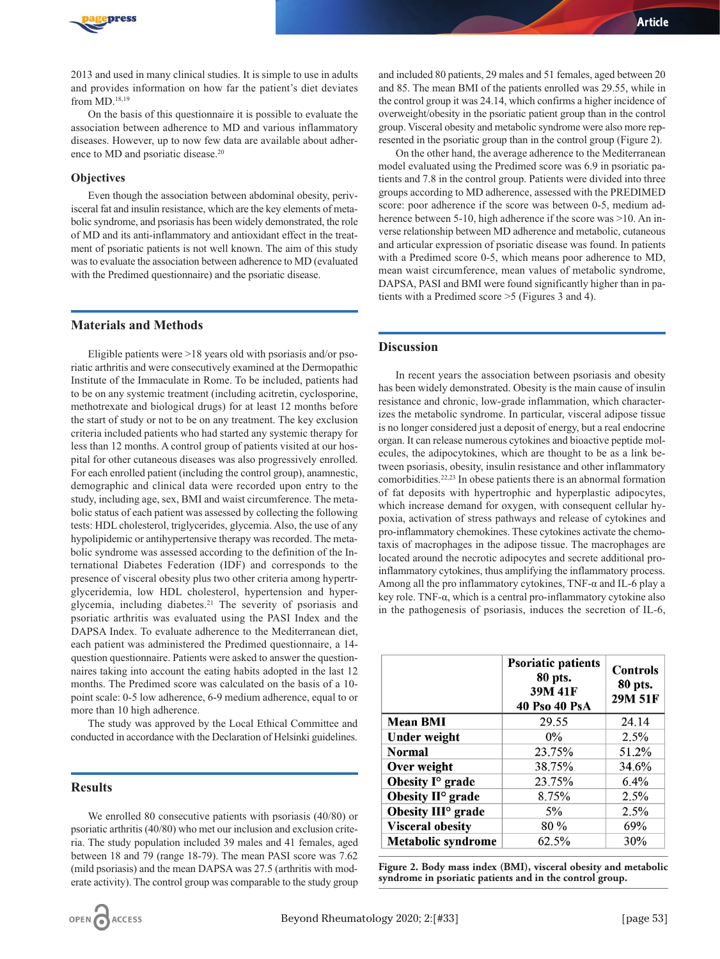

2013 and used in many clinical studies. It is simple to use in adults and provides information on how far the patient's diet deviates from MD.18,19

On the basis of this questionnaire it is possible to evaluate the association between adherence to MD and various inflammatory diseases. However, up to now few data are available about adherence to MD and psoriatic disease.<sup>20</sup>

#### **Objectives**

Even though the association between abdominal obesity, perivisceral fat and insulin resistance, which are the key elements of metabolic syndrome, and psoriasis has been widely demonstrated, the role of MD and its anti-inflammatory and antioxidant effect in the treatment of psoriatic patients is not well known. The aim of this study was to evaluate the association between adherence to MD (evaluated with the Predimed questionnaire) and the psoriatic disease.

#### **Materials and Methods**

Eligible patients were >18 years old with psoriasis and/or psoriatic arthritis and were consecutively examined at the Dermopathic Institute of the Immaculate in Rome. To be included, patients had to be on any systemic treatment (including acitretin, cyclosporine, methotrexate and biological drugs) for at least 12 months before the start of study or not to be on any treatment. The key exclusion criteria included patients who had started any systemic therapy for less than 12 months. A control group of patients visited at our hospital for other cutaneous diseases was also progressively enrolled. For each enrolled patient (including the control group), anamnestic, demographic and clinical data were recorded upon entry to the study, including age, sex, BMI and waist circumference. The metabolic status of each patient was assessed by collecting the following tests: HDL cholesterol, triglycerides, glycemia. Also, the use of any hypolipidemic or antihypertensive therapy was recorded. The metabolic syndrome was assessed according to the definition of the International Diabetes Federation (IDF) and corresponds to the presence of visceral obesity plus two other criteria among hypertrglyceridemia, low HDL cholesterol, hypertension and hyperglycemia, including diabetes.<sup>21</sup> The severity of psoriasis and psoriatic arthritis was evaluated using the PASI Index and the DAPSA Index. To evaluate adherence to the Mediterranean diet, each patient was administered the Predimed questionnaire, a 14 question questionnaire. Patients were asked to answer the questionnaires taking into account the eating habits adopted in the last 12 months. The Predimed score was calculated on the basis of a 10 point scale: 0-5 low adherence, 6-9 medium adherence, equal to or more than 10 high adherence.

The study was approved by the Local Ethical Committee and conducted in accordance with the Declaration of Helsinki guidelines.

# **Results**

We enrolled 80 consecutive patients with psoriasis (40/80) or psoriatic arthritis (40/80) who met our inclusion and exclusion criteria. The study population included 39 males and 41 females, aged between 18 and 79 (range 18-79). The mean PASI score was 7.62 (mild psoriasis) and the mean DAPSA was 27.5 (arthritis with moderate activity). The control group was comparable to the study group

and included 80 patients, 29 males and 51 females, aged between 20 and 85. The mean BMI of the patients enrolled was 29.55, while in the control group it was 24.14, which confirms a higher incidence of overweight/obesity in the psoriatic patient group than in the control group. Visceral obesity and metabolic syndrome were also more represented in the psoriatic group than in the control group (Figure 2).

On the other hand, the average adherence to the Mediterranean model evaluated using the Predimed score was 6.9 in psoriatic patients and 7.8 in the control group. Patients were divided into three groups according to MD adherence, assessed with the PREDIMED score: poor adherence if the score was between 0-5, medium adherence between 5-10, high adherence if the score was >10. An inverse relationship between MD adherence and metabolic, cutaneous and articular expression of psoriatic disease was found. In patients with a Predimed score 0-5, which means poor adherence to MD, mean waist circumference, mean values of metabolic syndrome, DAPSA, PASI and BMI were found significantly higher than in patients with a Predimed score >5 (Figures 3 and 4).

#### **Discussion**

In recent years the association between psoriasis and obesity has been widely demonstrated. Obesity is the main cause of insulin resistance and chronic, low-grade inflammation, which characterizes the metabolic syndrome. In particular, visceral adipose tissue is no longer considered just a deposit of energy, but a real endocrine organ. It can release numerous cytokines and bioactive peptide molecules, the adipocytokines, which are thought to be as a link between psoriasis, obesity, insulin resistance and other inflammatory comorbidities.22,23 In obese patients there is an abnormal formation of fat deposits with hypertrophic and hyperplastic adipocytes, which increase demand for oxygen, with consequent cellular hypoxia, activation of stress pathways and release of cytokines and pro-inflammatory chemokines. These cytokines activate the chemotaxis of macrophages in the adipose tissue. The macrophages are located around the necrotic adipocytes and secrete additional proinflammatory cytokines, thus amplifying the inflammatory process. Among all the pro inflammatory cytokines, TNF-α and IL-6 play a key role. TNF-α, which is a central pro-inflammatory cytokine also in the pathogenesis of psoriasis, induces the secretion of IL-6,

|                                | <b>Psoriatic patients</b><br>80 pts.<br>39M 41F<br>40 Pso 40 PsA | <b>Controls</b><br>80 pts.<br>29M 51F |
|--------------------------------|------------------------------------------------------------------|---------------------------------------|
| <b>Mean BMI</b>                | 29.55                                                            | 24.14                                 |
| <b>Under weight</b>            | $0\%$                                                            | 2.5%                                  |
| <b>Normal</b>                  | 23.75%                                                           | 51.2%                                 |
| Over weight                    | 38.75%                                                           | 34.6%                                 |
| Obesity I <sup>o</sup> grade   | 23.75%                                                           | 6.4%                                  |
| Obesity II <sup>o</sup> grade  | 8.75%                                                            | 2.5%                                  |
| Obesity III <sup>o</sup> grade | 5%                                                               | 2.5%                                  |
| <b>Visceral obesity</b>        | 80%                                                              | 69%                                   |
| <b>Metabolic syndrome</b>      | 62.5%                                                            | 30%                                   |

**Figure 2. Body mass index (BMI), visceral obesity and metabolic syndrome in psoriatic patients and in the control group.**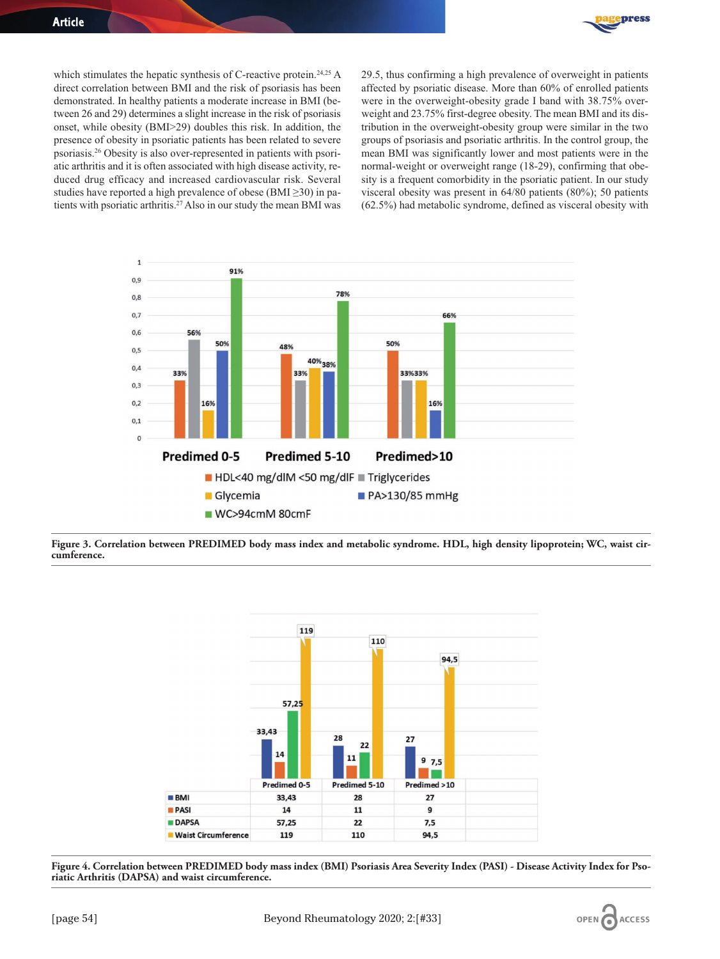

which stimulates the hepatic synthesis of C-reactive protein.<sup>24,25</sup> A direct correlation between BMI and the risk of psoriasis has been demonstrated. In healthy patients a moderate increase in BMI (between 26 and 29) determines a slight increase in the risk of psoriasis onset, while obesity (BMI>29) doubles this risk. In addition, the presence of obesity in psoriatic patients has been related to severe psoriasis.26 Obesity is also over-represented in patients with psoriatic arthritis and it is often associated with high disease activity, reduced drug efficacy and increased cardiovascular risk. Several studies have reported a high prevalence of obese (BMI $\geq$ 30) in patients with psoriatic arthritis.<sup>27</sup> Also in our study the mean BMI was

29.5, thus confirming a high prevalence of overweight in patients affected by psoriatic disease. More than 60% of enrolled patients were in the overweight-obesity grade I band with 38.75% overweight and 23.75% first-degree obesity. The mean BMI and its distribution in the overweight-obesity group were similar in the two groups of psoriasis and psoriatic arthritis. In the control group, the mean BMI was significantly lower and most patients were in the normal-weight or overweight range (18-29), confirming that obesity is a frequent comorbidity in the psoriatic patient. In our study visceral obesity was present in 64/80 patients (80%); 50 patients (62.5%) had metabolic syndrome, defined as visceral obesity with



**Figure 3. Correlation between PREDIMED body mass index and metabolic syndrome. HDL, high density lipoprotein; WC, waist circumference.** 



**Figure 4. Correlation between PREDIMED body mass index (BMI) Psoriasis Area Severity Index (PASI) - Disease Activity Index for Psoriatic Arthritis (DAPSA) and waist circumference.**

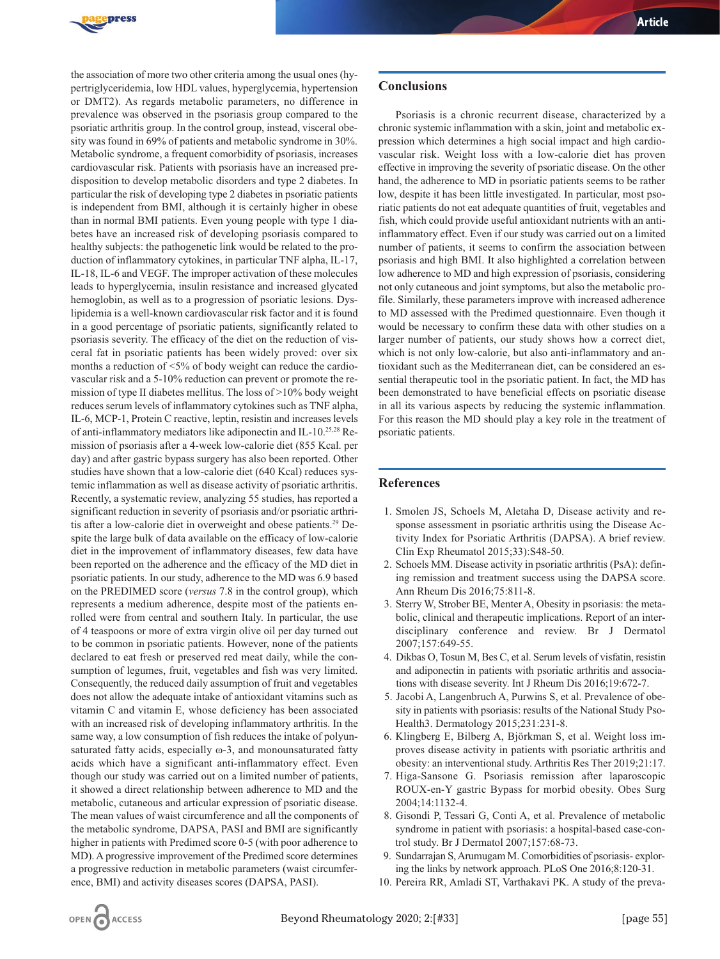

the association of more two other criteria among the usual ones (hypertriglyceridemia, low HDL values, hyperglycemia, hypertension or DMT2). As regards metabolic parameters, no difference in prevalence was observed in the psoriasis group compared to the psoriatic arthritis group. In the control group, instead, visceral obesity was found in 69% of patients and metabolic syndrome in 30%. Metabolic syndrome, a frequent comorbidity of psoriasis, increases cardiovascular risk. Patients with psoriasis have an increased predisposition to develop metabolic disorders and type 2 diabetes. In particular the risk of developing type 2 diabetes in psoriatic patients is independent from BMI, although it is certainly higher in obese than in normal BMI patients. Even young people with type 1 diabetes have an increased risk of developing psoriasis compared to healthy subjects: the pathogenetic link would be related to the production of inflammatory cytokines, in particular TNF alpha, IL-17, IL-18, IL-6 and VEGF. The improper activation of these molecules leads to hyperglycemia, insulin resistance and increased glycated hemoglobin, as well as to a progression of psoriatic lesions. Dyslipidemia is a well-known cardiovascular risk factor and it is found in a good percentage of psoriatic patients, significantly related to psoriasis severity. The efficacy of the diet on the reduction of visceral fat in psoriatic patients has been widely proved: over six months a reduction of <5% of body weight can reduce the cardiovascular risk and a 5-10% reduction can prevent or promote the remission of type II diabetes mellitus. The loss of >10% body weight reduces serum levels of inflammatory cytokines such as TNF alpha, IL-6, MCP-1, Protein C reactive, leptin, resistin and increases levels of anti-inflammatory mediators like adiponectin and IL-10.25,28 Remission of psoriasis after a 4-week low-calorie diet (855 Kcal. per day) and after gastric bypass surgery has also been reported. Other studies have shown that a low-calorie diet (640 Kcal) reduces systemic inflammation as well as disease activity of psoriatic arthritis. Recently, a systematic review, analyzing 55 studies, has reported a significant reduction in severity of psoriasis and/or psoriatic arthritis after a low-calorie diet in overweight and obese patients.29 Despite the large bulk of data available on the efficacy of low-calorie diet in the improvement of inflammatory diseases, few data have been reported on the adherence and the efficacy of the MD diet in psoriatic patients. In our study, adherence to the MD was 6.9 based on the PREDIMED score (*versus* 7.8 in the control group), which represents a medium adherence, despite most of the patients enrolled were from central and southern Italy. In particular, the use of 4 teaspoons or more of extra virgin olive oil per day turned out to be common in psoriatic patients. However, none of the patients declared to eat fresh or preserved red meat daily, while the consumption of legumes, fruit, vegetables and fish was very limited. Consequently, the reduced daily assumption of fruit and vegetables does not allow the adequate intake of antioxidant vitamins such as vitamin C and vitamin E, whose deficiency has been associated with an increased risk of developing inflammatory arthritis. In the same way, a low consumption of fish reduces the intake of polyunsaturated fatty acids, especially ω-3, and monounsaturated fatty acids which have a significant anti-inflammatory effect. Even though our study was carried out on a limited number of patients, it showed a direct relationship between adherence to MD and the metabolic, cutaneous and articular expression of psoriatic disease. The mean values of waist circumference and all the components of the metabolic syndrome, DAPSA, PASI and BMI are significantly higher in patients with Predimed score 0-5 (with poor adherence to MD). A progressive improvement of the Predimed score determines a progressive reduction in metabolic parameters (waist circumference, BMI) and activity diseases scores (DAPSA, PASI).

#### **Conclusions**

Psoriasis is a chronic recurrent disease, characterized by a chronic systemic inflammation with a skin, joint and metabolic expression which determines a high social impact and high cardiovascular risk. Weight loss with a low-calorie diet has proven effective in improving the severity of psoriatic disease. On the other hand, the adherence to MD in psoriatic patients seems to be rather low, despite it has been little investigated. In particular, most psoriatic patients do not eat adequate quantities of fruit, vegetables and fish, which could provide useful antioxidant nutrients with an antiinflammatory effect. Even if our study was carried out on a limited number of patients, it seems to confirm the association between psoriasis and high BMI. It also highlighted a correlation between low adherence to MD and high expression of psoriasis, considering not only cutaneous and joint symptoms, but also the metabolic profile. Similarly, these parameters improve with increased adherence to MD assessed with the Predimed questionnaire. Even though it would be necessary to confirm these data with other studies on a larger number of patients, our study shows how a correct diet, which is not only low-calorie, but also anti-inflammatory and antioxidant such as the Mediterranean diet, can be considered an essential therapeutic tool in the psoriatic patient. In fact, the MD has been demonstrated to have beneficial effects on psoriatic disease in all its various aspects by reducing the systemic inflammation. For this reason the MD should play a key role in the treatment of psoriatic patients.

## **References**

- 1. Smolen JS, Schoels M, Aletaha D, Disease activity and response assessment in psoriatic arthritis using the Disease Activity Index for Psoriatic Arthritis (DAPSA). A brief review. Clin Exp Rheumatol 2015;33):S48-50.
- 2. Schoels MM. Disease activity in psoriatic arthritis (PsA): defining remission and treatment success using the DAPSA score. Ann Rheum Dis 2016;75:811-8.
- 3. Sterry W, Strober BE, Menter A, Obesity in psoriasis: the metabolic, clinical and therapeutic implications. Report of an interdisciplinary conference and review. Br J Dermatol 2007;157:649-55.
- 4. Dikbas O, Tosun M, Bes C, et al. Serum levels of visfatin, resistin and adiponectin in patients with psoriatic arthritis and associations with disease severity. Int J Rheum Dis 2016;19:672-7.
- 5. Jacobi A, Langenbruch A, Purwins S, et al. Prevalence of obesity in patients with psoriasis: results of the National Study Pso-Health3. Dermatology 2015;231:231-8.
- 6. Klingberg E, Bilberg A, Björkman S, et al. Weight loss improves disease activity in patients with psoriatic arthritis and obesity: an interventional study. Arthritis Res Ther 2019;21:17.
- 7. Higa-Sansone G. Psoriasis remission after laparoscopic ROUX-en-Y gastric Bypass for morbid obesity. Obes Surg 2004;14:1132-4.
- 8. Gisondi P, Tessari G, Conti A, et al. Prevalence of metabolic syndrome in patient with psoriasis: a hospital-based case-control study. Br J Dermatol 2007;157:68-73.
- 9. Sundarrajan S, Arumugam M. Comorbidities of psoriasis- exploring the links by network approach. PLoS One 2016;8:120-31.
- 10. Pereira RR, Amladi ST, Varthakavi PK. A study of the preva-